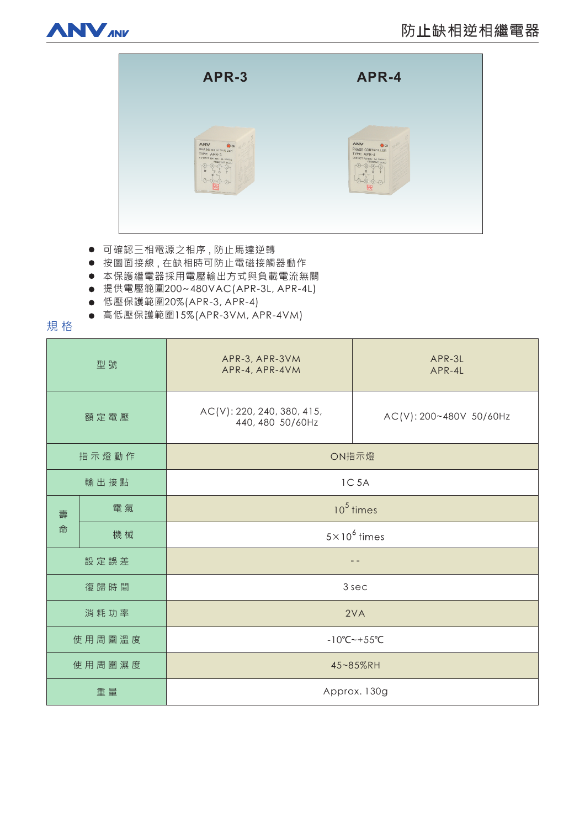



- 可確認三相電源之相序,防止馬達逆轉
- 按圖面接線, 在缺相時可防止電磁接觸器動作
- 本保護繼電器採用電壓輸出方式與負載電流無關
- 提供電壓範圍200~480VAC(APR-3L, APR-4L)
- 低壓保護範圍20%(APR-3, APR-4)
- 高低壓保護範圍15%(APR-3VM, APR-4VM)

## 規格

| 型號     |    | APR-3, APR-3VM<br>APR-4, APR-4VM               | APR-3L<br>APR-4L        |
|--------|----|------------------------------------------------|-------------------------|
| 額定電壓   |    | AC(V): 220, 240, 380, 415,<br>440, 480 50/60Hz | AC(V): 200~480V 50/60Hz |
| 指示燈動作  |    | ON指示燈                                          |                         |
| 輸出接點   |    | 1C 5A                                          |                         |
| 壽<br>命 | 電氣 | $105$ times                                    |                         |
|        | 機械 | $5 \times 10^6$ times                          |                         |
| 設定誤差   |    |                                                |                         |
| 復歸時間   |    | 3 sec                                          |                         |
| 消耗功率   |    | 2VA                                            |                         |
| 使用周圍溫度 |    | $-10^{\circ}$ C ~ + 55 $^{\circ}$ C            |                         |
| 使用周圍濕度 |    | 45~85%RH                                       |                         |
| 重量     |    | Approx. 130g                                   |                         |